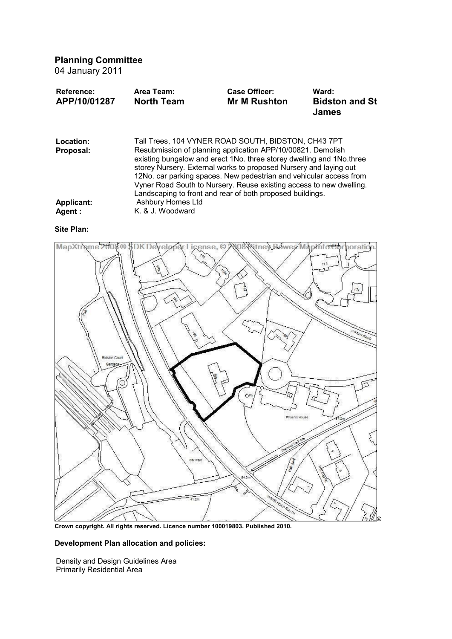# **Planning Committee**

04 January 2011

| <b>Reference:</b><br>APP/10/01287 | Area Team:<br><b>North Team</b>                                                                                                            | Case Officer:<br><b>Mr M Rushton</b>                      | Ward:<br><b>Bidston and St</b><br><b>James</b> |
|-----------------------------------|--------------------------------------------------------------------------------------------------------------------------------------------|-----------------------------------------------------------|------------------------------------------------|
| Location:                         | Tall Trees, 104 VYNER ROAD SOUTH, BIDSTON, CH43 7PT                                                                                        |                                                           |                                                |
| Proposal:                         | Resubmission of planning application APP/10/00821. Demolish                                                                                |                                                           |                                                |
|                                   | existing bungalow and erect 1No. three storey dwelling and 1No. three<br>storey Nursery. External works to proposed Nursery and laying out |                                                           |                                                |
|                                   | 12No. car parking spaces. New pedestrian and vehicular access from                                                                         |                                                           |                                                |
|                                   | Vyner Road South to Nursery. Reuse existing access to new dwelling.                                                                        |                                                           |                                                |
|                                   |                                                                                                                                            | Landscaping to front and rear of both proposed buildings. |                                                |
| <b>Applicant:</b>                 | Ashbury Homes Ltd                                                                                                                          |                                                           |                                                |
| <b>Agent:</b>                     | K. & J. Woodward                                                                                                                           |                                                           |                                                |

### **Site Plan:**



**Crown copyright. All rights reserved. Licence number 100019803. Published 2010.**

# **Development Plan allocation and policies:**

Density and Design Guidelines Area Primarily Residential Area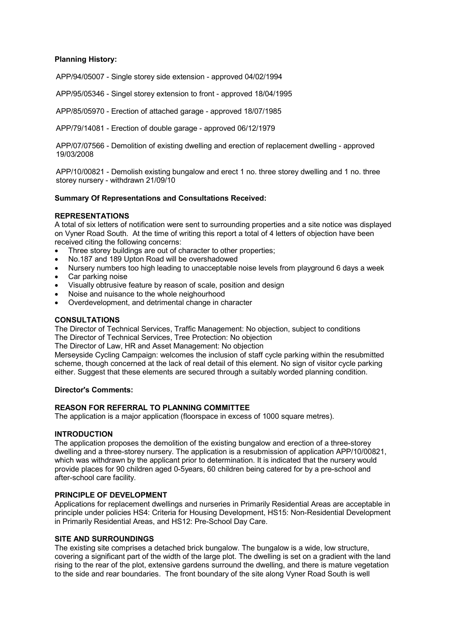# **Planning History:**

APP/94/05007 - Single storey side extension - approved 04/02/1994

APP/95/05346 - Singel storey extension to front - approved 18/04/1995

APP/85/05970 - Erection of attached garage - approved 18/07/1985

APP/79/14081 - Erection of double garage - approved 06/12/1979

APP/07/07566 - Demolition of existing dwelling and erection of replacement dwelling - approved 19/03/2008

APP/10/00821 - Demolish existing bungalow and erect 1 no. three storey dwelling and 1 no. three storey nursery - withdrawn 21/09/10

#### **Summary Of Representations and Consultations Received:**

### **REPRESENTATIONS**

A total of six letters of notification were sent to surrounding properties and a site notice was displayed on Vyner Road South. At the time of writing this report a total of 4 letters of objection have been received citing the following concerns:

- Three storey buildings are out of character to other properties;
- · No.187 and 189 Upton Road will be overshadowed
- · Nursery numbers too high leading to unacceptable noise levels from playground 6 days a week
- Car parking noise
- Visually obtrusive feature by reason of scale, position and design
- · Noise and nuisance to the whole neighourhood
- · Overdevelopment, and detrimental change in character

#### **CONSULTATIONS**

The Director of Technical Services, Traffic Management: No objection, subject to conditions The Director of Technical Services, Tree Protection: No objection

The Director of Law, HR and Asset Management: No objection

Merseyside Cycling Campaign: welcomes the inclusion of staff cycle parking within the resubmitted scheme, though concerned at the lack of real detail of this element. No sign of visitor cycle parking either. Suggest that these elements are secured through a suitably worded planning condition.

#### **Director's Comments:**

### **REASON FOR REFERRAL TO PLANNING COMMITTEE**

The application is a major application (floorspace in excess of 1000 square metres).

#### **INTRODUCTION**

The application proposes the demolition of the existing bungalow and erection of a three-storey dwelling and a three-storey nursery. The application is a resubmission of application APP/10/00821, which was withdrawn by the applicant prior to determination. It is indicated that the nursery would provide places for 90 children aged 0-5years, 60 children being catered for by a pre-school and after-school care facility.

# **PRINCIPLE OF DEVELOPMENT**

Applications for replacement dwellings and nurseries in Primarily Residential Areas are acceptable in principle under policies HS4: Criteria for Housing Development, HS15: Non-Residential Development in Primarily Residential Areas, and HS12: Pre-School Day Care.

### **SITE AND SURROUNDINGS**

The existing site comprises a detached brick bungalow. The bungalow is a wide, low structure, covering a significant part of the width of the large plot. The dwelling is set on a gradient with the land rising to the rear of the plot, extensive gardens surround the dwelling, and there is mature vegetation to the side and rear boundaries. The front boundary of the site along Vyner Road South is well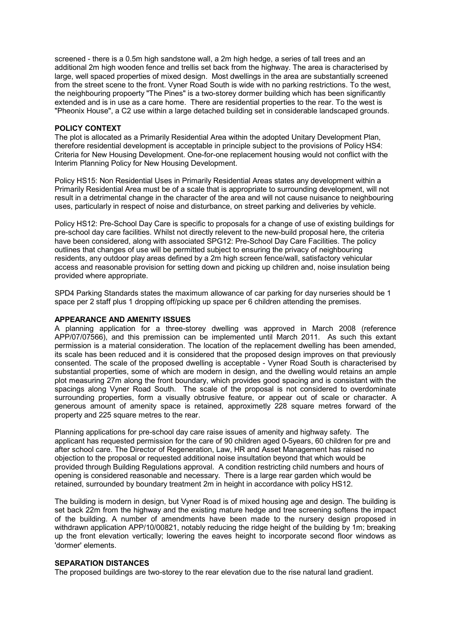screened - there is a 0.5m high sandstone wall, a 2m high hedge, a series of tall trees and an additional 2m high wooden fence and trellis set back from the highway. The area is characterised by large, well spaced properties of mixed design. Most dwellings in the area are substantially screened from the street scene to the front. Vyner Road South is wide with no parking restrictions. To the west, the neighbouring propoerty "The Pines" is a two-storey dormer building which has been significantly extended and is in use as a care home. There are residential properties to the rear. To the west is "Pheonix House", a C2 use within a large detached building set in considerable landscaped grounds.

#### **POLICY CONTEXT**

The plot is allocated as a Primarily Residential Area within the adopted Unitary Development Plan, therefore residential development is acceptable in principle subject to the provisions of Policy HS4: Criteria for New Housing Development. One-for-one replacement housing would not conflict with the Interim Planning Policy for New Housing Development.

Policy HS15: Non Residential Uses in Primarily Residential Areas states any development within a Primarily Residential Area must be of a scale that is appropriate to surrounding development, will not result in a detrimental change in the character of the area and will not cause nuisance to neighbouring uses, particularly in respect of noise and disturbance, on street parking and deliveries by vehicle.

Policy HS12: Pre-School Day Care is specific to proposals for a change of use of existing buildings for pre-school day care facilities. Whilst not directly relevent to the new-build proposal here, the criteria have been considered, along with associated SPG12: Pre-School Day Care Facilities. The policy outlines that changes of use will be permitted subject to ensuring the privacy of neighbouring residents, any outdoor play areas defined by a 2m high screen fence/wall, satisfactory vehicular access and reasonable provision for setting down and picking up children and, noise insulation being provided where appropriate.

SPD4 Parking Standards states the maximum allowance of car parking for day nurseries should be 1 space per 2 staff plus 1 dropping off/picking up space per 6 children attending the premises.

#### **APPEARANCE AND AMENITY ISSUES**

A planning application for a three-storey dwelling was approved in March 2008 (reference APP/07/07566), and this premission can be implemented until March 2011. As such this extant permission is a material consideration. The location of the replacement dwelling has been amended, its scale has been reduced and it is considered that the proposed design improves on that previously consented. The scale of the proposed dwelling is acceptable - Vyner Road South is characterised by substantial properties, some of which are modern in design, and the dwelling would retains an ample plot measuring 27m along the front boundary, which provides good spacing and is consistant with the spacings along Vyner Road South. The scale of the proposal is not considered to overdominate surrounding properties, form a visually obtrusive feature, or appear out of scale or character. A generous amount of amenity space is retained, approximetly 228 square metres forward of the property and 225 square metres to the rear.

Planning applications for pre-school day care raise issues of amenity and highway safety. The applicant has requested permission for the care of 90 children aged 0-5years, 60 children for pre and after school care. The Director of Regeneration, Law, HR and Asset Management has raised no objection to the proposal or requested additional noise insultation beyond that which would be provided through Building Regulations approval. A condition restricting child numbers and hours of opening is considered reasonable and necessary. There is a large rear garden which would be retained, surrounded by boundary treatment 2m in height in accordance with policy HS12.

The building is modern in design, but Vyner Road is of mixed housing age and design. The building is set back 22m from the highway and the existing mature hedge and tree screening softens the impact of the building. A number of amendments have been made to the nursery design proposed in withdrawn application APP/10/00821, notably reducing the ridge height of the building by 1m; breaking up the front elevation vertically; lowering the eaves height to incorporate second floor windows as 'dormer' elements.

### **SEPARATION DISTANCES**

The proposed buildings are two-storey to the rear elevation due to the rise natural land gradient.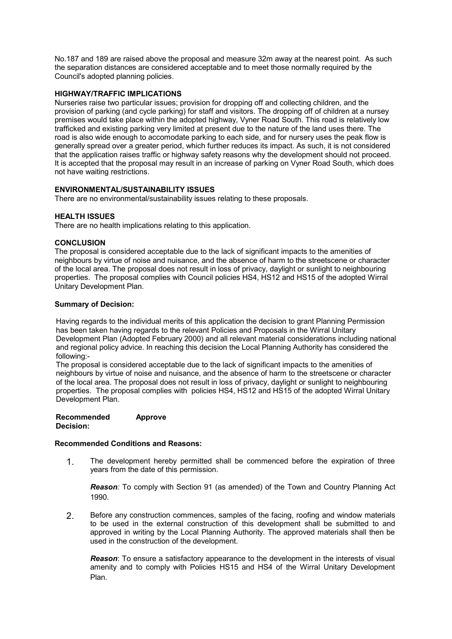No.187 and 189 are raised above the proposal and measure 32m away at the nearest point. As such the separation distances are considered acceptable and to meet those normally required by the Council's adopted planning policies.

# **HIGHWAY/TRAFFIC IMPLICATIONS**

Nurseries raise two particular issues; provision for dropping off and collecting children, and the provision of parking (and cycle parking) for staff and visitors. The dropping off of children at a nursey premises would take place within the adopted highway, Vyner Road South. This road is relatively low trafficked and existing parking very limited at present due to the nature of the land uses there. The road is also wide enough to accomodate parking to each side, and for nursery uses the peak flow is generally spread over a greater period, which further reduces its impact. As such, it is not considered that the application raises traffic or highway safety reasons why the development should not proceed. It is accepted that the proposal may result in an increase of parking on Vyner Road South, which does not have waiting restrictions.

# **ENVIRONMENTAL/SUSTAINABILITY ISSUES**

There are no environmental/sustainability issues relating to these proposals.

# **HEALTH ISSUES**

There are no health implications relating to this application.

# **CONCLUSION**

The proposal is considered acceptable due to the lack of significant impacts to the amenities of neighbours by virtue of noise and nuisance, and the absence of harm to the streetscene or character of the local area. The proposal does not result in loss of privacy, daylight or sunlight to neighbouring properties. The proposal complies with Council policies HS4, HS12 and HS15 of the adopted Wirral Unitary Development Plan.

### **Summary of Decision:**

Having regards to the individual merits of this application the decision to grant Planning Permission has been taken having regards to the relevant Policies and Proposals in the Wirral Unitary Development Plan (Adopted February 2000) and all relevant material considerations including national and regional policy advice. In reaching this decision the Local Planning Authority has considered the following:-

The proposal is considered acceptable due to the lack of significant impacts to the amenities of neighbours by virtue of noise and nuisance, and the absence of harm to the streetscene or character of the local area. The proposal does not result in loss of privacy, daylight or sunlight to neighbouring properties. The proposal complies with policies HS4, HS12 and HS15 of the adopted Wirral Unitary Development Plan.

#### **Recommended Decision: Approve**

# **Recommended Conditions and Reasons:**

1. The development hereby permitted shall be commenced before the expiration of three years from the date of this permission.

*Reason:* To comply with Section 91 (as amended) of the Town and Country Planning Act 1990.

2. Before any construction commences, samples of the facing, roofing and window materials to be used in the external construction of this development shall be submitted to and approved in writing by the Local Planning Authority. The approved materials shall then be used in the construction of the development.

*Reason*: To ensure a satisfactory appearance to the development in the interests of visual amenity and to comply with Policies HS15 and HS4 of the Wirral Unitary Development Plan.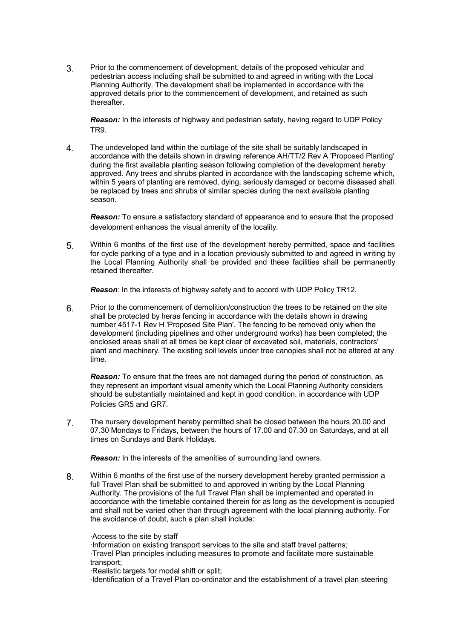3. Prior to the commencement of development, details of the proposed vehicular and pedestrian access including shall be submitted to and agreed in writing with the Local Planning Authority. The development shall be implemented in accordance with the approved details prior to the commencement of development, and retained as such thereafter.

*Reason:* In the interests of highway and pedestrian safety, having regard to UDP Policy TR9.

4. The undeveloped land within the curtilage of the site shall be suitably landscaped in accordance with the details shown in drawing reference AH/TT/2 Rev A 'Proposed Planting' during the first available planting season following completion of the development hereby approved. Any trees and shrubs planted in accordance with the landscaping scheme which, within 5 years of planting are removed, dying, seriously damaged or become diseased shall be replaced by trees and shrubs of similar species during the next available planting season.

*Reason:* To ensure a satisfactory standard of appearance and to ensure that the proposed development enhances the visual amenity of the locality.

5. Within 6 months of the first use of the development hereby permitted, space and facilities for cycle parking of a type and in a location previously submitted to and agreed in writing by the Local Planning Authority shall be provided and these facilities shall be permanently retained thereafter.

*Reason*: In the interests of highway safety and to accord with UDP Policy TR12.

6. Prior to the commencement of demolition/construction the trees to be retained on the site shall be protected by heras fencing in accordance with the details shown in drawing number 4517-1 Rev H 'Proposed Site Plan'. The fencing to be removed only when the development (including pipelines and other underground works) has been completed; the enclosed areas shall at all times be kept clear of excavated soil, materials, contractors' plant and machinery. The existing soil levels under tree canopies shall not be altered at any time.

*Reason:* To ensure that the trees are not damaged during the period of construction, as they represent an important visual amenity which the Local Planning Authority considers should be substantially maintained and kept in good condition, in accordance with UDP Policies GR5 and GR7.

7. The nursery development hereby permitted shall be closed between the hours 20.00 and 07.30 Mondays to Fridays, between the hours of 17.00 and 07.30 on Saturdays, and at all times on Sundays and Bank Holidays.

*Reason:* In the interests of the amenities of surrounding land owners.

8. Within 6 months of the first use of the nursery development hereby granted permission a full Travel Plan shall be submitted to and approved in writing by the Local Planning Authority. The provisions of the full Travel Plan shall be implemented and operated in accordance with the timetable contained therein for as long as the development is occupied and shall not be varied other than through agreement with the local planning authority. For the avoidance of doubt, such a plan shall include:

·Access to the site by staff

·Information on existing transport services to the site and staff travel patterns; ·Travel Plan principles including measures to promote and facilitate more sustainable transport;

·Realistic targets for modal shift or split;

·Identification of a Travel Plan co-ordinator and the establishment of a travel plan steering